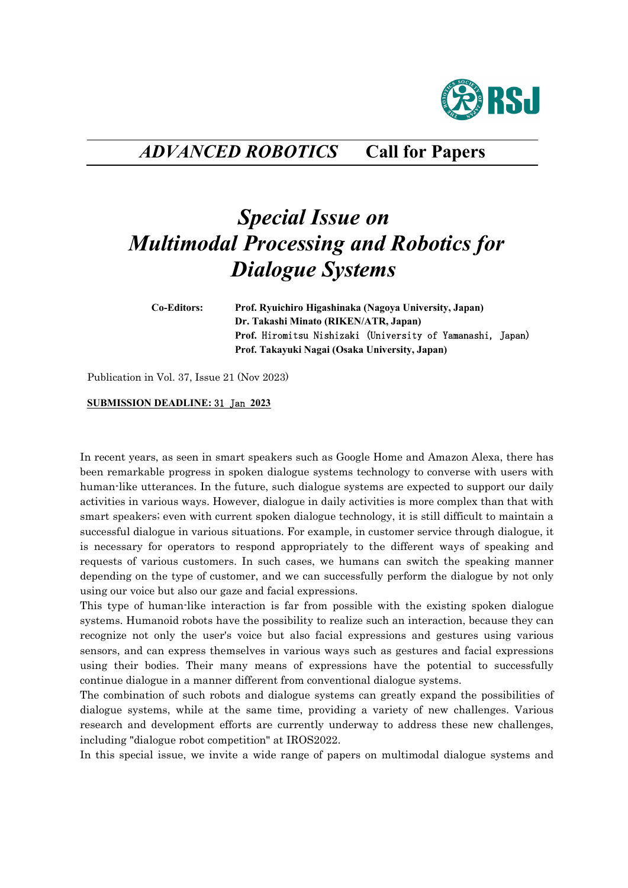

## *ADVANCED ROBOTICS* **Call for Papers**

## *Special Issue on Multimodal Processing and Robotics for Dialogue Systems*

**Co-Editors: Prof. Ryuichiro Higashinaka (Nagoya University, Japan) Dr. Takashi Minato (RIKEN/ATR, Japan) Prof.** Hiromitsu Nishizaki (University of Yamanashi, Japan)  **Prof. Takayuki Nagai (Osaka University, Japan)** 

Publication in Vol. 37, Issue 21 (Nov 2023)

## **SUBMISSION DEADLINE:** 31 Jan **2023**

In recent years, as seen in smart speakers such as Google Home and Amazon Alexa, there has been remarkable progress in spoken dialogue systems technology to converse with users with human-like utterances. In the future, such dialogue systems are expected to support our daily activities in various ways. However, dialogue in daily activities is more complex than that with smart speakers; even with current spoken dialogue technology, it is still difficult to maintain a successful dialogue in various situations. For example, in customer service through dialogue, it is necessary for operators to respond appropriately to the different ways of speaking and requests of various customers. In such cases, we humans can switch the speaking manner depending on the type of customer, and we can successfully perform the dialogue by not only using our voice but also our gaze and facial expressions.

This type of human-like interaction is far from possible with the existing spoken dialogue systems. Humanoid robots have the possibility to realize such an interaction, because they can recognize not only the user's voice but also facial expressions and gestures using various sensors, and can express themselves in various ways such as gestures and facial expressions using their bodies. Their many means of expressions have the potential to successfully continue dialogue in a manner different from conventional dialogue systems.

The combination of such robots and dialogue systems can greatly expand the possibilities of dialogue systems, while at the same time, providing a variety of new challenges. Various research and development efforts are currently underway to address these new challenges, including "dialogue robot competition" at IROS2022.

In this special issue, we invite a wide range of papers on multimodal dialogue systems and